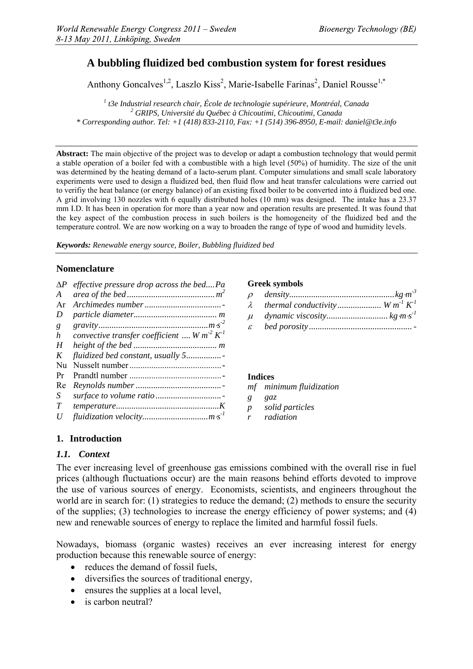# **A bubbling fluidized bed combustion system for forest residues**

Anthony Goncalves<sup>1,2</sup>, Laszlo Kiss<sup>2</sup>, Marie-Isabelle Farinas<sup>2</sup>, Daniel Rousse<sup>1,\*</sup>

<sup>1</sup> *t3e Industrial research chair, École de technologie supérieure, Montréal, Canada* <sup>2</sup><br><sup>2</sup> CPIPS, Université du Québec è Chicoutini, Chicoutini, Canada  *GRIPS, Université du Québec à Chicoutimi, Chicoutimi, Canada \* Corresponding author. Tel: +1 (418) 833-2110, Fax: +1 (514) 396-8950, E-mail: daniel@t3e.info* 

**Abstract:** The main objective of the project was to develop or adapt a combustion technology that would permit a stable operation of a boiler fed with a combustible with a high level (50%) of humidity. The size of the unit was determined by the heating demand of a lacto-serum plant. Computer simulations and small scale laboratory experiments were used to design a fluidized bed, then fluid flow and heat transfer calculations were carried out to verifiy the heat balance (or energy balance) of an existing fixed boiler to be converted into à fluidized bed one. A grid involving 130 nozzles with 6 equally distributed holes (10 mm) was designed. The intake has a 23.37 mm I.D. It has been in operation for more than a year now and operation results are presented. It was found that the key aspect of the combustion process in such boilers is the homogeneity of the fluidized bed and the temperature control. We are now working on a way to broaden the range of type of wood and humidity levels.

*Keywords: Renewable energy source, Boiler, Bubbling fluidized bed* 

#### **Nomenclature**

| $\Delta P$ | effective pressure drop across the bedPa     |
|------------|----------------------------------------------|
| A          |                                              |
| Ar         |                                              |
| D          |                                              |
| g          |                                              |
| h          | convective transfer coefficient  W $m^2 K^1$ |
| H          |                                              |
| K          | fluidized bed constant, usually 5            |
| Nu         |                                              |
| Pr         |                                              |
| Re         |                                              |
| S          |                                              |
| T          |                                              |
| U          |                                              |

#### **Greek symbols**

|               | $\lambda$ thermal conductivity $W m^T K^T$ |  |
|---------------|--------------------------------------------|--|
|               |                                            |  |
| $\mathcal{E}$ |                                            |  |

#### **Indices**

*mf minimum fluidization* 

- *g gaz*
- *p solid particles*
- *r radiation*

#### **1. Introduction**

#### *1.1. Context*

The ever increasing level of greenhouse gas emissions combined with the overall rise in fuel prices (although fluctuations occur) are the main reasons behind efforts devoted to improve the use of various sources of energy. Economists, scientists, and engineers throughout the world are in search for: (1) strategies to reduce the demand; (2) methods to ensure the security of the supplies; (3) technologies to increase the energy efficiency of power systems; and (4) new and renewable sources of energy to replace the limited and harmful fossil fuels.

Nowadays, biomass (organic wastes) receives an ever increasing interest for energy production because this renewable source of energy:

- reduces the demand of fossil fuels,
- diversifies the sources of traditional energy,
- ensures the supplies at a local level,
- is carbon neutral?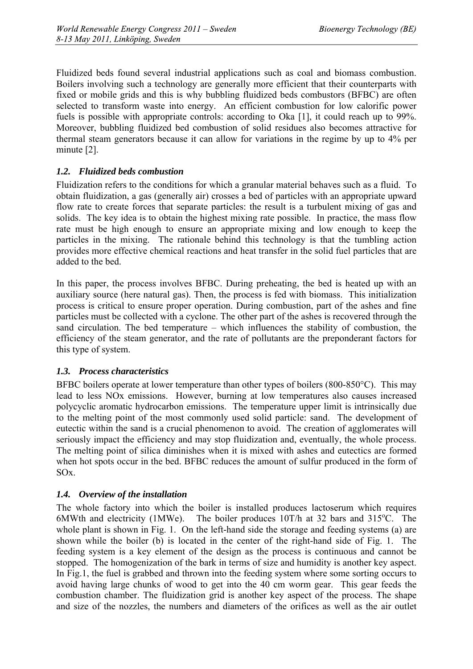Fluidized beds found several industrial applications such as coal and biomass combustion. Boilers involving such a technology are generally more efficient that their counterparts with fixed or mobile grids and this is why bubbling fluidized beds combustors (BFBC) are often selected to transform waste into energy. An efficient combustion for low calorific power fuels is possible with appropriate controls: according to Oka [1], it could reach up to 99%. Moreover, bubbling fluidized bed combustion of solid residues also becomes attractive for thermal steam generators because it can allow for variations in the regime by up to 4% per minute [2].

### *1.2. Fluidized beds combustion*

Fluidization refers to the conditions for which a granular material behaves such as a fluid. To obtain fluidization, a gas (generally air) crosses a bed of particles with an appropriate upward flow rate to create forces that separate particles: the result is a turbulent mixing of gas and solids. The key idea is to obtain the highest mixing rate possible. In practice, the mass flow rate must be high enough to ensure an appropriate mixing and low enough to keep the particles in the mixing. The rationale behind this technology is that the tumbling action provides more effective chemical reactions and heat transfer in the solid fuel particles that are added to the bed.

In this paper, the process involves BFBC. During preheating, the bed is heated up with an auxiliary source (here natural gas). Then, the process is fed with biomass. This initialization process is critical to ensure proper operation. During combustion, part of the ashes and fine particles must be collected with a cyclone. The other part of the ashes is recovered through the sand circulation. The bed temperature – which influences the stability of combustion, the efficiency of the steam generator, and the rate of pollutants are the preponderant factors for this type of system.

#### *1.3. Process characteristics*

BFBC boilers operate at lower temperature than other types of boilers (800-850°C). This may lead to less NOx emissions. However, burning at low temperatures also causes increased polycyclic aromatic hydrocarbon emissions. The temperature upper limit is intrinsically due to the melting point of the most commonly used solid particle: sand. The development of eutectic within the sand is a crucial phenomenon to avoid. The creation of agglomerates will seriously impact the efficiency and may stop fluidization and, eventually, the whole process. The melting point of silica diminishes when it is mixed with ashes and eutectics are formed when hot spots occur in the bed. BFBC reduces the amount of sulfur produced in the form of SOx.

# *1.4. Overview of the installation*

The whole factory into which the boiler is installed produces lactoserum which requires 6MWth and electricity (1MWe). The boiler produces  $10T/h$  at 32 bars and  $315^{\circ}$ C. The whole plant is shown in Fig. 1. On the left-hand side the storage and feeding systems (a) are shown while the boiler (b) is located in the center of the right-hand side of Fig. 1. The feeding system is a key element of the design as the process is continuous and cannot be stopped. The homogenization of the bark in terms of size and humidity is another key aspect. In Fig.1, the fuel is grabbed and thrown into the feeding system where some sorting occurs to avoid having large chunks of wood to get into the 40 cm worm gear. This gear feeds the combustion chamber. The fluidization grid is another key aspect of the process. The shape and size of the nozzles, the numbers and diameters of the orifices as well as the air outlet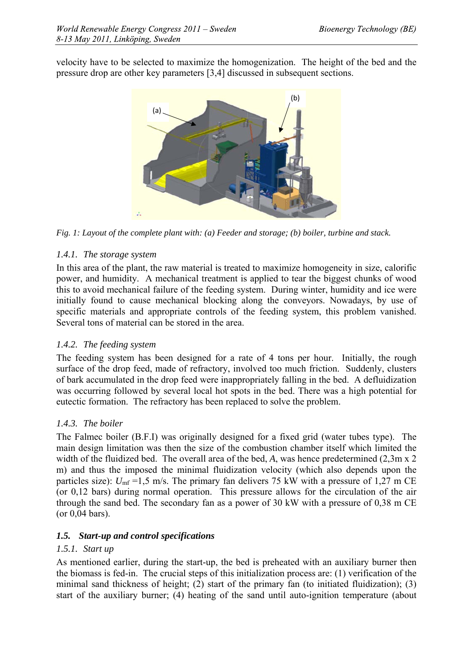velocity have to be selected to maximize the homogenization. The height of the bed and the pressure drop are other key parameters [3,4] discussed in subsequent sections.



*Fig. 1: Layout of the complete plant with: (a) Feeder and storage; (b) boiler, turbine and stack.* 

# *1.4.1. The storage system*

In this area of the plant, the raw material is treated to maximize homogeneity in size, calorific power, and humidity. A mechanical treatment is applied to tear the biggest chunks of wood this to avoid mechanical failure of the feeding system. During winter, humidity and ice were initially found to cause mechanical blocking along the conveyors. Nowadays, by use of specific materials and appropriate controls of the feeding system, this problem vanished. Several tons of material can be stored in the area.

# *1.4.2. The feeding system*

The feeding system has been designed for a rate of 4 tons per hour. Initially, the rough surface of the drop feed, made of refractory, involved too much friction. Suddenly, clusters of bark accumulated in the drop feed were inappropriately falling in the bed. A defluidization was occurring followed by several local hot spots in the bed. There was a high potential for eutectic formation. The refractory has been replaced to solve the problem.

# *1.4.3. The boiler*

The Falmec boiler (B.F.I) was originally designed for a fixed grid (water tubes type). The main design limitation was then the size of the combustion chamber itself which limited the width of the fluidized bed. The overall area of the bed, *A*, was hence predetermined (2,3m x 2) m) and thus the imposed the minimal fluidization velocity (which also depends upon the particles size):  $U_{\text{mf}}$  =1,5 m/s. The primary fan delivers 75 kW with a pressure of 1,27 m CE (or 0,12 bars) during normal operation. This pressure allows for the circulation of the air through the sand bed. The secondary fan as a power of 30 kW with a pressure of 0,38 m CE (or 0,04 bars).

# *1.5. Start-up and control specifications*

# *1.5.1. Start up*

As mentioned earlier, during the start-up, the bed is preheated with an auxiliary burner then the biomass is fed-in. The crucial steps of this initialization process are: (1) verification of the minimal sand thickness of height; (2) start of the primary fan (to initiated fluidization); (3) start of the auxiliary burner; (4) heating of the sand until auto-ignition temperature (about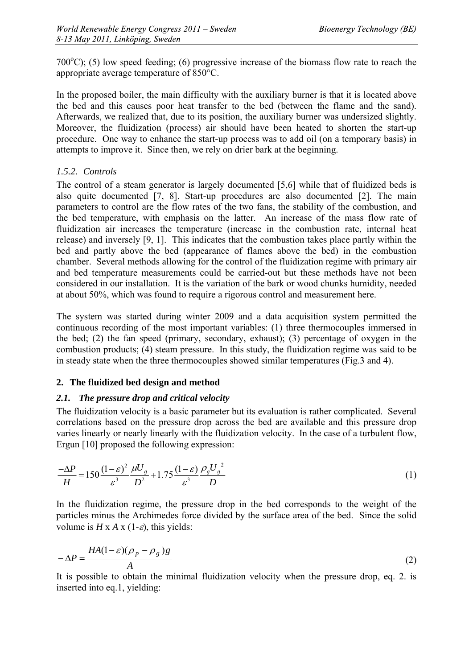700 $^{\circ}$ C); (5) low speed feeding; (6) progressive increase of the biomass flow rate to reach the appropriate average temperature of 850°C.

In the proposed boiler, the main difficulty with the auxiliary burner is that it is located above the bed and this causes poor heat transfer to the bed (between the flame and the sand). Afterwards, we realized that, due to its position, the auxiliary burner was undersized slightly. Moreover, the fluidization (process) air should have been heated to shorten the start-up procedure. One way to enhance the start-up process was to add oil (on a temporary basis) in attempts to improve it. Since then, we rely on drier bark at the beginning.

# *1.5.2. Controls*

The control of a steam generator is largely documented [5,6] while that of fluidized beds is also quite documented [7, 8]. Start-up procedures are also documented [2]. The main parameters to control are the flow rates of the two fans, the stability of the combustion, and the bed temperature, with emphasis on the latter. An increase of the mass flow rate of fluidization air increases the temperature (increase in the combustion rate, internal heat release) and inversely [9, 1]. This indicates that the combustion takes place partly within the bed and partly above the bed (appearance of flames above the bed) in the combustion chamber. Several methods allowing for the control of the fluidization regime with primary air and bed temperature measurements could be carried-out but these methods have not been considered in our installation. It is the variation of the bark or wood chunks humidity, needed at about 50%, which was found to require a rigorous control and measurement here.

The system was started during winter 2009 and a data acquisition system permitted the continuous recording of the most important variables: (1) three thermocouples immersed in the bed; (2) the fan speed (primary, secondary, exhaust); (3) percentage of oxygen in the combustion products; (4) steam pressure. In this study, the fluidization regime was said to be in steady state when the three thermocouples showed similar temperatures (Fig.3 and 4).

# **2. The fluidized bed design and method**

# *2.1. The pressure drop and critical velocity*

The fluidization velocity is a basic parameter but its evaluation is rather complicated. Several correlations based on the pressure drop across the bed are available and this pressure drop varies linearly or nearly linearly with the fluidization velocity. In the case of a turbulent flow, Ergun [10] proposed the following expression:

$$
\frac{-\Delta P}{H} = 150 \frac{(1-\varepsilon)^2}{\varepsilon^3} \frac{\mu U_g}{D^2} + 1.75 \frac{(1-\varepsilon)}{\varepsilon^3} \frac{\rho_g U_g^2}{D}
$$
(1)

In the fluidization regime, the pressure drop in the bed corresponds to the weight of the particles minus the Archimedes force divided by the surface area of the bed. Since the solid volume is  $H \times A \times (1-\varepsilon)$ , this yields:

$$
-\Delta P = \frac{HA(1-\varepsilon)(\rho_p - \rho_g)g}{A} \tag{2}
$$

It is possible to obtain the minimal fluidization velocity when the pressure drop, eq. 2. is inserted into eq.1, yielding: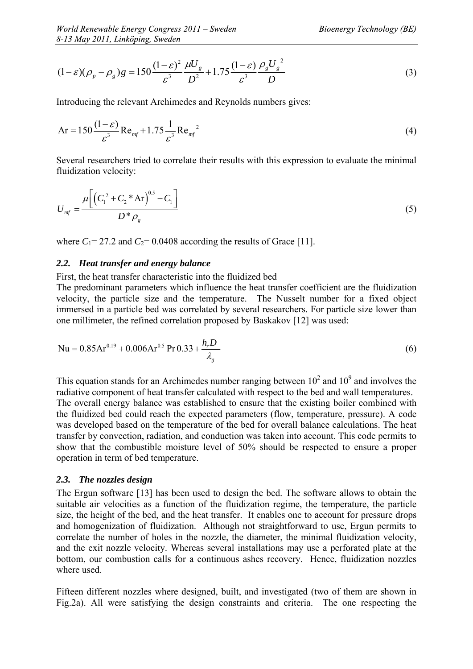$$
(1 - \varepsilon)(\rho_p - \rho_g)g = 150 \frac{(1 - \varepsilon)^2}{\varepsilon^3} \frac{\mu U_g}{D^2} + 1.75 \frac{(1 - \varepsilon)}{\varepsilon^3} \frac{\rho_g U_g^2}{D}
$$
(3)

Introducing the relevant Archimedes and Reynolds numbers gives:

$$
Ar = 150 \frac{(1 - \varepsilon)}{\varepsilon^3} Re_{mf} + 1.75 \frac{1}{\varepsilon^3} Re_{mf}^2
$$
 (4)

Several researchers tried to correlate their results with this expression to evaluate the minimal fluidization velocity:

$$
U_{\text{mf}} = \frac{\mu \left[ \left( C_1^2 + C_2^* A r \right)^{0.5} - C_1 \right]}{D^* \rho_{\text{g}}}
$$
(5)

where  $C_1$ = 27.2 and  $C_2$ = 0.0408 according the results of Grace [11].

#### *2.2. Heat transfer and energy balance*

#### First, the heat transfer characteristic into the fluidized bed

The predominant parameters which influence the heat transfer coefficient are the fluidization velocity, the particle size and the temperature. The Nusselt number for a fixed object immersed in a particle bed was correlated by several researchers. For particle size lower than one millimeter, the refined correlation proposed by Baskakov [12] was used:

Nu = 
$$
0.85Ar^{0.19} + 0.006Ar^{0.5}Pr^{0.33} + \frac{h_r D}{\lambda_g}
$$
 (6)

This equation stands for an Archimedes number ranging between  $10^2$  and  $10^9$  and involves the radiative component of heat transfer calculated with respect to the bed and wall temperatures. The overall energy balance was established to ensure that the existing boiler combined with the fluidized bed could reach the expected parameters (flow, temperature, pressure). A code was developed based on the temperature of the bed for overall balance calculations. The heat transfer by convection, radiation, and conduction was taken into account. This code permits to show that the combustible moisture level of 50% should be respected to ensure a proper operation in term of bed temperature.

#### *2.3. The nozzles design*

The Ergun software [13] has been used to design the bed. The software allows to obtain the suitable air velocities as a function of the fluidization regime, the temperature, the particle size, the height of the bed, and the heat transfer. It enables one to account for pressure drops and homogenization of fluidization. Although not straightforward to use, Ergun permits to correlate the number of holes in the nozzle, the diameter, the minimal fluidization velocity, and the exit nozzle velocity. Whereas several installations may use a perforated plate at the bottom, our combustion calls for a continuous ashes recovery. Hence, fluidization nozzles where used.

Fifteen different nozzles where designed, built, and investigated (two of them are shown in Fig.2a). All were satisfying the design constraints and criteria. The one respecting the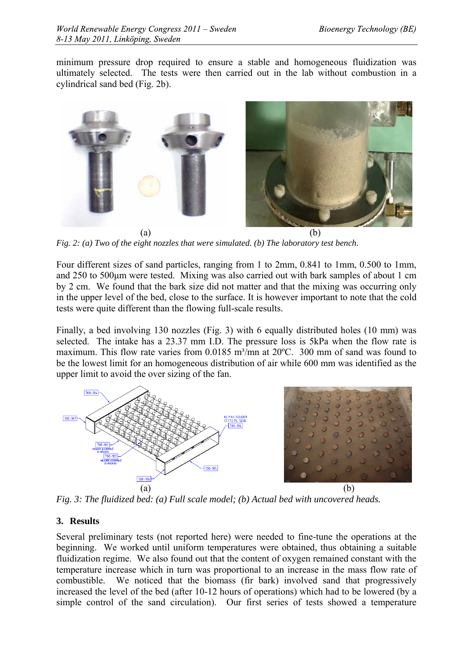minimum pressure drop required to ensure a stable and homogeneous fluidization was ultimately selected. The tests were then carried out in the lab without combustion in a cylindrical sand bed (Fig. 2b).



*Fig. 2: (a) Two of the eight nozzles that were simulated. (b) The laboratory test bench.* 

Four different sizes of sand particles, ranging from 1 to 2mm, 0.841 to 1mm, 0.500 to 1mm, and 250 to 500μm were tested. Mixing was also carried out with bark samples of about 1 cm by 2 cm. We found that the bark size did not matter and that the mixing was occurring only in the upper level of the bed, close to the surface. It is however important to note that the cold tests were quite different than the flowing full-scale results.

Finally, a bed involving 130 nozzles (Fig. 3) with 6 equally distributed holes (10 mm) was selected. The intake has a 23.37 mm I.D. The pressure loss is 5kPa when the flow rate is maximum. This flow rate varies from  $0.0185$  m<sup>3</sup>/mn at  $20^{\circ}$ C. 300 mm of sand was found to be the lowest limit for an homogeneous distribution of air while 600 mm was identified as the upper limit to avoid the over sizing of the fan.



*Fig. 3: The fluidized bed: (a) Full scale model; (b) Actual bed with uncovered heads.* 

# **3. Results**

Several preliminary tests (not reported here) were needed to fine-tune the operations at the beginning. We worked until uniform temperatures were obtained, thus obtaining a suitable fluidization regime. We also found out that the content of oxygen remained constant with the temperature increase which in turn was proportional to an increase in the mass flow rate of combustible. We noticed that the biomass (fir bark) involved sand that progressively increased the level of the bed (after 10-12 hours of operations) which had to be lowered (by a simple control of the sand circulation). Our first series of tests showed a temperature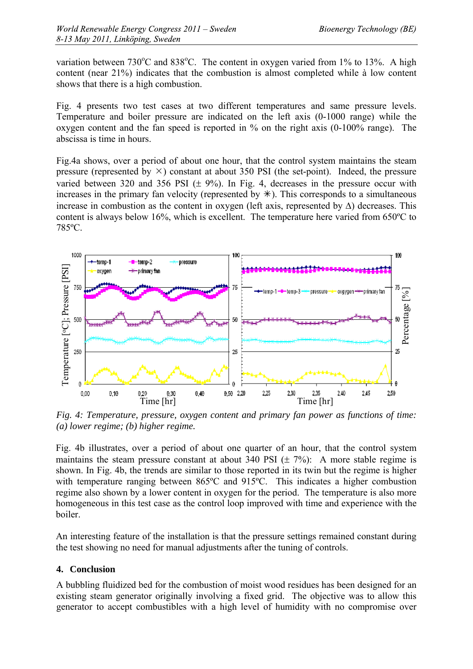variation between  $730^{\circ}$ C and  $838^{\circ}$ C. The content in oxygen varied from 1% to 13%. A high content (near 21%) indicates that the combustion is almost completed while à low content shows that there is a high combustion.

Fig. 4 presents two test cases at two different temperatures and same pressure levels. Temperature and boiler pressure are indicated on the left axis (0-1000 range) while the oxygen content and the fan speed is reported in % on the right axis (0-100% range). The abscissa is time in hours.

Fig.4a shows, over a period of about one hour, that the control system maintains the steam pressure (represented by  $\times$ ) constant at about 350 PSI (the set-point). Indeed, the pressure varied between 320 and 356 PSI  $(\pm 9\%)$ . In Fig. 4, decreases in the pressure occur with increases in the primary fan velocity (represented by  $\ast$ ). This corresponds to a simultaneous increase in combustion as the content in oxygen (left axis, represented by  $\Delta$ ) decreases. This content is always below 16%, which is excellent. The temperature here varied from 650ºC to 785ºC.



*Fig. 4: Temperature, pressure, oxygen content and primary fan power as functions of time: (a) lower regime; (b) higher regime.* 

Fig. 4b illustrates, over a period of about one quarter of an hour, that the control system maintains the steam pressure constant at about 340 PSI  $(\pm 7\%)$ : A more stable regime is shown. In Fig. 4b, the trends are similar to those reported in its twin but the regime is higher with temperature ranging between 865°C and 915°C. This indicates a higher combustion regime also shown by a lower content in oxygen for the period. The temperature is also more homogeneous in this test case as the control loop improved with time and experience with the boiler.

An interesting feature of the installation is that the pressure settings remained constant during the test showing no need for manual adjustments after the tuning of controls.

#### **4. Conclusion**

A bubbling fluidized bed for the combustion of moist wood residues has been designed for an existing steam generator originally involving a fixed grid. The objective was to allow this generator to accept combustibles with a high level of humidity with no compromise over